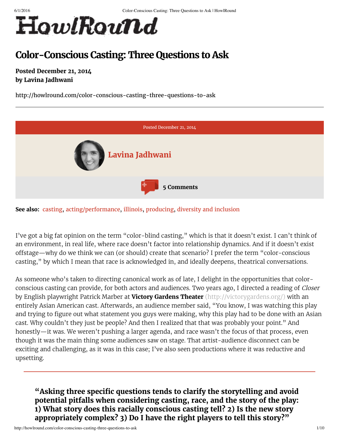

# **Color-Conscious Casting: Three Questions to Ask**

**Posted December 21, 2014 by Lavina Jadhwani**

http://howlround.com/color-conscious-casting-three-questions-to-ask





I've got a big fat opinion on the term "color-blind casting," which is that it doesn't exist. I can't think of an environment, in real life, where race doesn't factor into relationship dynamics. And if it doesn't exist offstage—why do we think we can (or should) create that scenario? I prefer the term "color-conscious casting," by which I mean that race is acknowledged in, and ideally deepens, theatrical conversations.

As someone who's taken to directing canonical work as of late, I delight in the opportunities that colorconscious casting can provide, for both actors and audiences. Two years ago, I directed a reading of Closer by English playwright Patrick Marber at **Victory Gardens Theater** [\(http://victorygardens.org/\)](http://victorygardens.org/) with an entirely Asian American cast. Afterwards, an audience member said, "You know, I was watching this play and trying to figure out what statement you guys were making, why this play had to be done with an Asian cast. Why couldn't they just be people? And then I realized that that was probably your point." And honestly—it was. We weren't pushing a larger agenda, and race wasn't the focus of that process, even though it was the main thing some audiences saw on stage. That artist-audience disconnect can be exciting and challenging, as it was in this case; I've also seen productions where it was reductive and upsetting.

**"Asking three specic questions tends to clarify the storytelling and avoid potential pitfalls when considering casting, race, and the story of the play: 1) What story does this racially conscious casting tell? 2) Is the new story appropriately complex? 3) Do I have the right players to tell this story?"**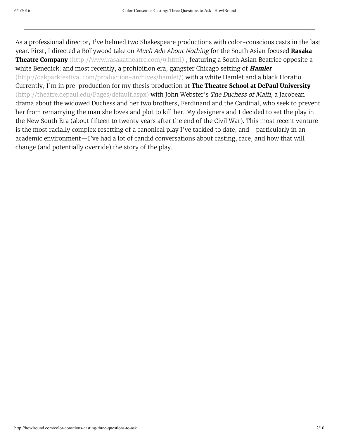As a professional director, I've helmed two Shakespeare productions with color-conscious casts in the last year. First, I directed a Bollywood take on Much Ado About Nothing for the South Asian focused **Rasaka Theatre Company** [\(http://www.rasakatheatre.com/9.html\)](http://www.rasakatheatre.com/9.html) , featuring a South Asian Beatrice opposite a white Benedick; and most recently, a prohibition era, gangster Chicago setting of **Hamlet** [\(http://oakparkfestival.com/production-archives/hamlet/\)](http://oakparkfestival.com/production-archives/hamlet/) with a white Hamlet and a black Horatio. Currently, I'm in pre-production for my thesis production at **The Theatre School at DePaul University** [\(http://theatre.depaul.edu/Pages/default.aspx\)](http://theatre.depaul.edu/Pages/default.aspx) with John Webster's The Duchess of Malfi, a Jacobean drama about the widowed Duchess and her two brothers, Ferdinand and the Cardinal, who seek to prevent her from remarrying the man she loves and plot to kill her. My designers and I decided to set the play in the New South Era (about fifteen to twenty years after the end of the Civil War). This most recent venture is the most racially complex resetting of a canonical play I've tackled to date, and—particularly in an academic environment—I've had a lot of candid conversations about casting, race, and how that will change (and potentially override) the story of the play.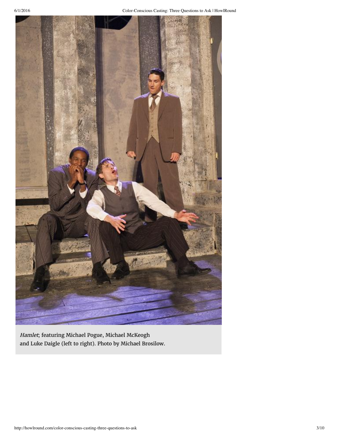

Hamlet; featuring Michael Pogue, Michael McKeogh and Luke Daigle (left to right). Photo by Michael Brosilow.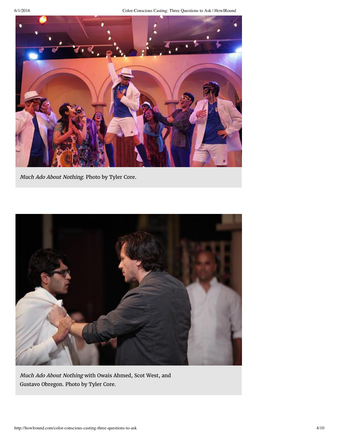6/1/2016 Color-Conscious Casting: Three Questions to Ask | HowlRound



Much Ado About Nothing. Photo by Tyler Core.



Much Ado About Nothing with Owais Ahmed, Scot West, and Gustavo Obregon. Photo by Tyler Core.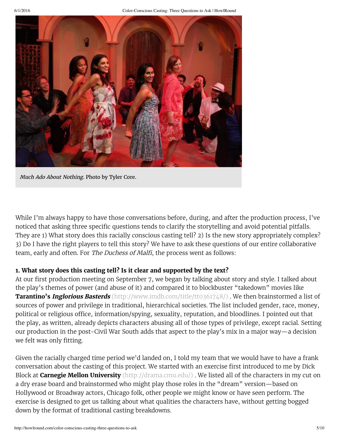

Much Ado About Nothing. Photo by Tyler Core.

While I'm always happy to have those conversations before, during, and after the production process, I've noticed that asking three specific questions tends to clarify the storytelling and avoid potential pitfalls. They are 1) What story does this racially conscious casting tell? 2) Is the new story appropriately complex? 3) Do I have the right players to tell this story? We have to ask these questions of our entire collaborative team, early and often. For The Duchess of Malfi, the process went as follows:

#### **1. What story does this casting tell? Is it clear and supported by the text?**

At our first production meeting on September 7, we began by talking about story and style. I talked about the play's themes of power (and abuse of it) and compared it to blockbuster "takedown" movies like **Tarantino's Inglorious Basterds** [\(http://www.imdb.com/title/tt0361748/\)](http://www.imdb.com/title/tt0361748/) . We then brainstormed a list of sources of power and privilege in traditional, hierarchical societies. The list included gender, race, money, political or religious office, information/spying, sexuality, reputation, and bloodlines. I pointed out that the play, as written, already depicts characters abusing all of those types of privilege, except racial. Setting our production in the post-Civil War South adds that aspect to the play's mix in a major way—a decision we felt was only fitting.

Given the racially charged time period we'd landed on, I told my team that we would have to have a frank conversation about the casting of this project. We started with an exercise first introduced to me by Dick Block at **Carnegie Mellon University** [\(http://drama.cmu.edu/\)](http://drama.cmu.edu/) . We listed all of the characters in my cut on a dry erase board and brainstormed who might play those roles in the "dream" version—based on Hollywood or Broadway actors, Chicago folk, other people we might know or have seen perform. The exercise is designed to get us talking about what qualities the characters have, without getting bogged down by the format of traditional casting breakdowns.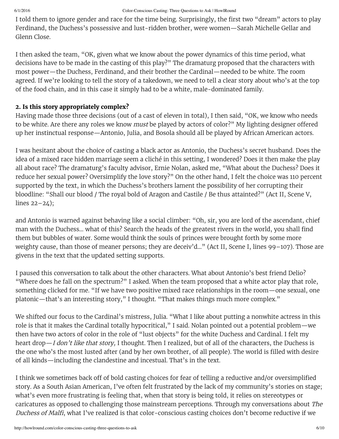I told them to ignore gender and race for the time being. Surprisingly, the first two "dream" actors to play Ferdinand, the Duchess's possessive and lust-ridden brother, were women—Sarah Michelle Gellar and Glenn Close.

I then asked the team, "OK, given what we know about the power dynamics of this time period, what decisions have to be made in the casting of this play?" The dramaturg proposed that the characters with most power—the Duchess, Ferdinand, and their brother the Cardinal—needed to be white. The room agreed. If we're looking to tell the story of a takedown, we need to tell a clear story about who's at the top of the food chain, and in this case it simply had to be a white, male-dominated family.

#### **2. Is this story appropriately complex?**

Having made those three decisions (out of a cast of eleven in total), I then said, "OK, we know who needs to be white. Are there any roles we know must be played by actors of color?" My lighting designer offered up her instinctual response—Antonio, Julia, and Bosola should all be played by African American actors.

I was hesitant about the choice of casting a black actor as Antonio, the Duchess's secret husband. Does the idea of a mixed race hidden marriage seem a cliché in this setting, I wondered? Does it then make the play all about race? The dramaturg's faculty advisor, Ernie Nolan, asked me, "What about the Duchess? Does it reduce her sexual power? Oversimplify the love story?" On the other hand, I felt the choice was 110 percent supported by the text, in which the Duchess's brothers lament the possibility of her corrupting their bloodline: "Shall our blood / The royal bold of Aragon and Castile / Be thus attainted?" (Act II, Scene V, lines 22–24);

and Antonio is warned against behaving like a social climber: "Oh, sir, you are lord of the ascendant, chief man with the Duchess... what of this? Search the heads of the greatest rivers in the world, you shall find them but bubbles of water. Some would think the souls of princes were brought forth by some more weighty cause, than those of meaner persons; they are deceiv'd..." (Act II, Scene I, lines 99–107). Those are givens in the text that the updated setting supports.

I paused this conversation to talk about the other characters. What about Antonio's best friend Delio? "Where does he fall on the spectrum?" I asked. When the team proposed that a white actor play that role, something clicked for me. "If we have two positive mixed race relationships in the room—one sexual, one platonic—that's an interesting story," I thought. "That makes things much more complex."

We shifted our focus to the Cardinal's mistress, Julia. "What I like about putting a nonwhite actress in this role is that it makes the Cardinal totally hypocritical," I said. Nolan pointed out a potential problem—we then have two actors of color in the role of "lust objects" for the white Duchess and Cardinal. I felt my heart drop—I don't like that story, I thought. Then I realized, but of all of the characters, the Duchess is the one who's the most lusted after (and by her own brother, of all people). The world is filled with desire of all kinds—including the clandestine and incestual. That's in the text.

I think we sometimes back off of bold casting choices for fear of telling a reductive and/or oversimplified story. As a South Asian American, I've often felt frustrated by the lack of my community's stories on stage; what's even more frustrating is feeling that, when that story is being told, it relies on stereotypes or caricatures as opposed to challenging those mainstream perceptions. Through my conversations about The Duchess of Malfi, what I've realized is that color-conscious casting choices don't become reductive if we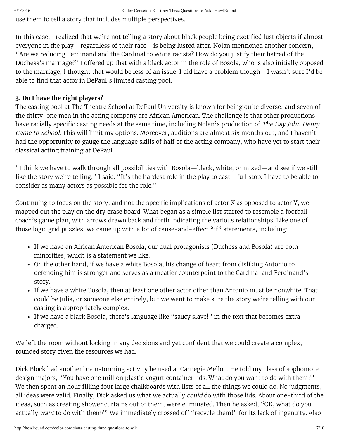use them to tell a story that includes multiple perspectives.

In this case, I realized that we're not telling a story about black people being exotified lust objects if almost everyone in the play—regardless of their race—is being lusted after. Nolan mentioned another concern, "Are we reducing Ferdinand and the Cardinal to white racists? How do you justify their hatred of the Duchess's marriage?" I offered up that with a black actor in the role of Bosola, who is also initially opposed to the marriage, I thought that would be less of an issue. I did have a problem though—I wasn't sure I'd be able to find that actor in DePaul's limited casting pool.

## **3. Do I have the right players?**

The casting pool at The Theatre School at DePaul University is known for being quite diverse, and seven of the thirty-one men in the acting company are African American. The challenge is that other productions have racially specific casting needs at the same time, including Nolan's production of The Day John Henry Came to School. This will limit my options. Moreover, auditions are almost six months out, and I haven't had the opportunity to gauge the language skills of half of the acting company, who have yet to start their classical acting training at DePaul.

"I think we have to walk through all possibilities with Bosola—black, white, or mixed—and see if we still like the story we're telling," I said. "It's the hardest role in the play to cast—full stop. I have to be able to consider as many actors as possible for the role."

Continuing to focus on the story, and not the specific implications of actor X as opposed to actor Y, we mapped out the play on the dry erase board. What began as a simple list started to resemble a football coach's game plan, with arrows drawn back and forth indicating the various relationships. Like one of those logic grid puzzles, we came up with a lot of cause-and-effect "if" statements, including:

- If we have an African American Bosola, our dual protagonists (Duchess and Bosola) are both minorities, which is a statement we like.
- On the other hand, if we have a white Bosola, his change of heart from disliking Antonio to defending him is stronger and serves as a meatier counterpoint to the Cardinal and Ferdinand's story.
- If we have a white Bosola, then at least one other actor other than Antonio must be nonwhite. That could be Julia, or someone else entirely, but we want to make sure the story we're telling with our casting is appropriately complex.
- If we have a black Bosola, there's language like "saucy slave!" in the text that becomes extra charged.

We left the room without locking in any decisions and yet confident that we could create a complex, rounded story given the resources we had.

Dick Block had another brainstorming activity he used at Carnegie Mellon. He told my class of sophomore design majors, "You have one million plastic yogurt container lids. What do you want to do with them?" We then spent an hour filling four large chalkboards with lists of all the things we could do. No judgments, all ideas were valid. Finally, Dick asked us what we actually *could* do with those lids. About one-third of the ideas, such as creating shower curtains out of them, were eliminated. Then he asked, "OK, what do you actually want to do with them?" We immediately crossed off "recycle them!" for its lack of ingenuity. Also